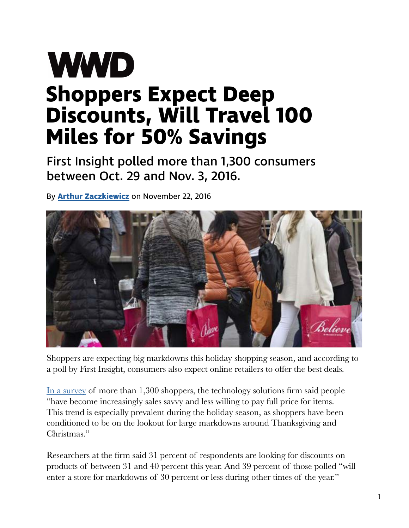## **WWD Shoppers Expect Deep Discounts, Will Travel 100 Miles for 50% Savings**

First Insight polled more than 1,300 consumers between Oct. 29 and Nov. 3, 2016.

By **[Arthur Zaczkiewicz](http://wwd.com/wwd-masthead/arthur-zaczkiewicz/)** on November 22, 2016



Shoppers are expecting big markdowns this holiday shopping season, and according to a poll by First Insight, consumers also expect online retailers to ofer the best deals.

[In a survey](http://cdn2.hubspot.net/hubfs/160569/images/Markdowns_Infographic_FINAL.pdf?t=1479823476559) of more than 1,300 shoppers, the technology solutions frm said people "have become increasingly sales savvy and less willing to pay full price for items. This trend is especially prevalent during the holiday season, as shoppers have been conditioned to be on the lookout for large markdowns around Thanksgiving and Christmas."

Researchers at the frm said 31 percent of respondents are looking for discounts on products of between 31 and 40 percent this year. And 39 percent of those polled "will enter a store for markdowns of 30 percent or less during other times of the year."